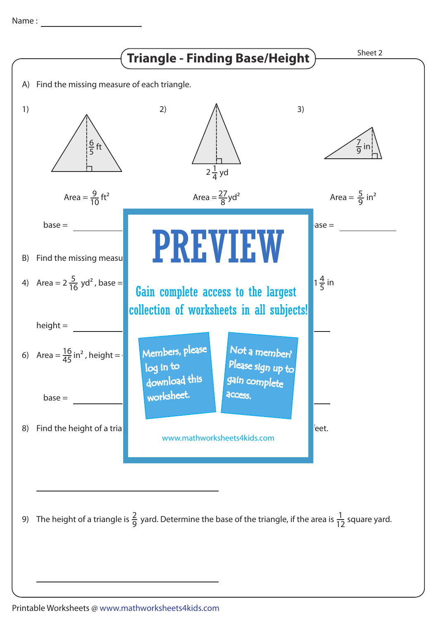